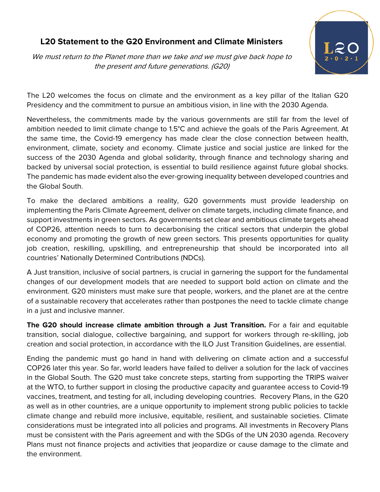## **L20 Statement to the G20 Environment and Climate Ministers**

We must return to the Planet more than we take and we must give back hope to the present and future generations. (G20)



The L20 welcomes the focus on climate and the environment as a key pillar of the Italian G20 Presidency and the commitment to pursue an ambitious vision, in line with the 2030 Agenda.

Nevertheless, the commitments made by the various governments are still far from the level of ambition needed to limit climate change to 1.5°C and achieve the goals of the Paris Agreement. At the same time, the Covid-19 emergency has made clear the close connection between health, environment, climate, society and economy. Climate justice and social justice are linked for the success of the 2030 Agenda and global solidarity, through finance and technology sharing and backed by universal social protection, is essential to build resilience against future global shocks. The pandemic has made evident also the ever-growing inequality between developed countries and the Global South.

To make the declared ambitions a reality, G20 governments must provide leadership on implementing the Paris Climate Agreement, deliver on climate targets, including climate finance, and support investments in green sectors. As governments set clear and ambitious climate targets ahead of COP26, attention needs to turn to decarbonising the critical sectors that underpin the global economy and promoting the growth of new green sectors. This presents opportunities for quality job creation, reskilling, upskilling, and entrepreneurship that should be incorporated into all countries' Nationally Determined Contributions (NDCs).

A Just transition, inclusive of social partners, is crucial in garnering the support for the fundamental changes of our development models that are needed to support bold action on climate and the environment. G20 ministers must make sure that people, workers, and the planet are at the centre of a sustainable recovery that accelerates rather than postpones the need to tackle climate change in a just and inclusive manner.

**The G20 should increase climate ambition through a Just Transition.** For a fair and equitable transition, social dialogue, collective bargaining, and support for workers through re-skilling, job creation and social protection, in accordance with the ILO Just Transition Guidelines, are essential.

Ending the pandemic must go hand in hand with delivering on climate action and a successful COP26 later this year. So far, world leaders have failed to deliver a solution for the lack of vaccines in the Global South. The G20 must take concrete steps, starting from supporting the TRIPS waiver at the WTO, to further support in closing the productive capacity and guarantee access to Covid-19 vaccines, treatment, and testing for all, including developing countries. Recovery Plans, in the G20 as well as in other countries, are a unique opportunity to implement strong public policies to tackle climate change and rebuild more inclusive, equitable, resilient, and sustainable societies. Climate considerations must be integrated into all policies and programs. All investments in Recovery Plans must be consistent with the Paris agreement and with the SDGs of the UN 2030 agenda. Recovery Plans must not finance projects and activities that jeopardize or cause damage to the climate and the environment.